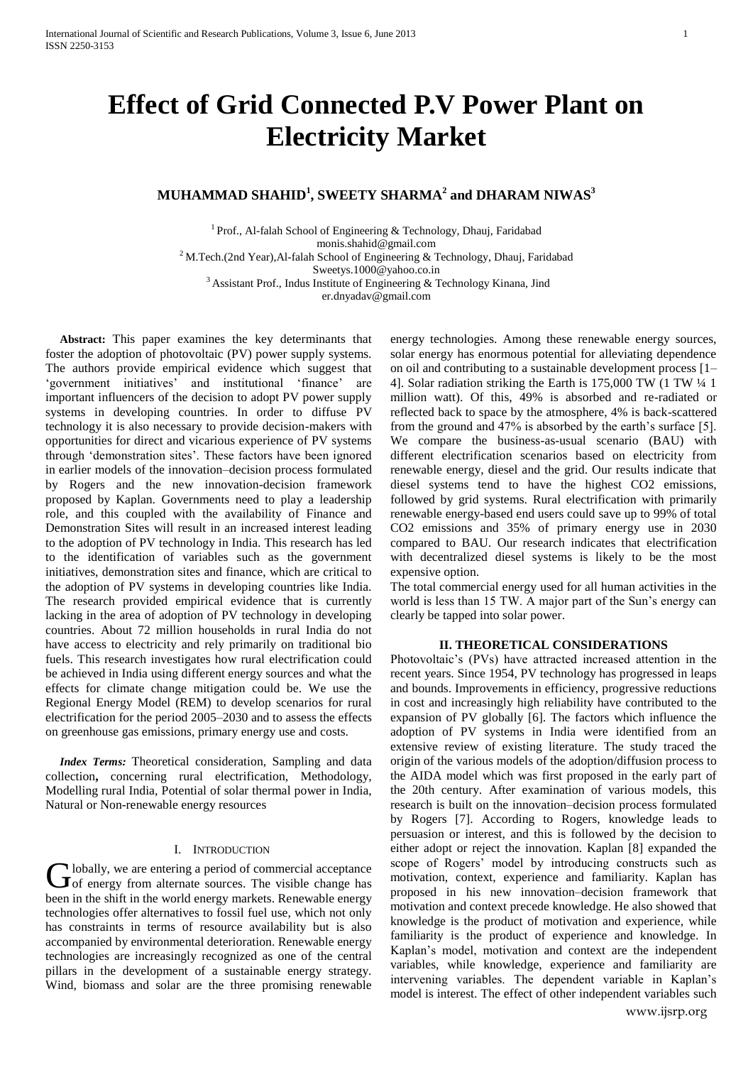# **Effect of Grid Connected P.V Power Plant on Electricity Market**

# **MUHAMMAD SHAHID<sup>1</sup> , SWEETY SHARMA<sup>2</sup> and DHARAM NIWAS<sup>3</sup>**

<sup>1</sup> Prof., Al-falah School of Engineering & Technology, Dhauj, Faridabad monis.shahid@gmail.com <sup>2</sup> M.Tech.(2nd Year),Al-falah School of Engineering & Technology, Dhauj, Faridabad Sweetys.1000@yahoo.co.in <sup>3</sup> Assistant Prof., Indus Institute of Engineering & Technology Kinana, Jind er.dnyadav@gmail.com

 **Abstract:** This paper examines the key determinants that foster the adoption of photovoltaic (PV) power supply systems. The authors provide empirical evidence which suggest that 'government initiatives' and institutional 'finance' are important influencers of the decision to adopt PV power supply systems in developing countries. In order to diffuse PV technology it is also necessary to provide decision-makers with opportunities for direct and vicarious experience of PV systems through 'demonstration sites'. These factors have been ignored in earlier models of the innovation–decision process formulated by Rogers and the new innovation-decision framework proposed by Kaplan. Governments need to play a leadership role, and this coupled with the availability of Finance and Demonstration Sites will result in an increased interest leading to the adoption of PV technology in India. This research has led to the identification of variables such as the government initiatives, demonstration sites and finance, which are critical to the adoption of PV systems in developing countries like India. The research provided empirical evidence that is currently lacking in the area of adoption of PV technology in developing countries. About 72 million households in rural India do not have access to electricity and rely primarily on traditional bio fuels. This research investigates how rural electrification could be achieved in India using different energy sources and what the effects for climate change mitigation could be. We use the Regional Energy Model (REM) to develop scenarios for rural electrification for the period 2005–2030 and to assess the effects on greenhouse gas emissions, primary energy use and costs.

 *Index Terms:* Theoretical consideration, Sampling and data collection**,** concerning rural electrification, Methodology, Modelling rural India, Potential of solar thermal power in India, Natural or Non-renewable energy resources

# I. INTRODUCTION

I lobally, we are entering a period of commercial acceptance Globally, we are entering a period of commercial acceptance<br>
of energy from alternate sources. The visible change has been in the shift in the world energy markets. Renewable energy technologies offer alternatives to fossil fuel use, which not only has constraints in terms of resource availability but is also accompanied by environmental deterioration. Renewable energy technologies are increasingly recognized as one of the central pillars in the development of a sustainable energy strategy. Wind, biomass and solar are the three promising renewable

energy technologies. Among these renewable energy sources, solar energy has enormous potential for alleviating dependence on oil and contributing to a sustainable development process [1– 4]. Solar radiation striking the Earth is 175,000 TW (1 TW ¼ 1 million watt). Of this, 49% is absorbed and re-radiated or reflected back to space by the atmosphere, 4% is back-scattered from the ground and 47% is absorbed by the earth's surface [5]. We compare the business-as-usual scenario (BAU) with different electrification scenarios based on electricity from renewable energy, diesel and the grid. Our results indicate that diesel systems tend to have the highest CO2 emissions, followed by grid systems. Rural electrification with primarily renewable energy-based end users could save up to 99% of total CO2 emissions and 35% of primary energy use in 2030 compared to BAU. Our research indicates that electrification with decentralized diesel systems is likely to be the most expensive option.

The total commercial energy used for all human activities in the world is less than 15 TW. A major part of the Sun's energy can clearly be tapped into solar power.

# **II. THEORETICAL CONSIDERATIONS**

Photovoltaic's (PVs) have attracted increased attention in the recent years. Since 1954, PV technology has progressed in leaps and bounds. Improvements in efficiency, progressive reductions in cost and increasingly high reliability have contributed to the expansion of PV globally [6]. The factors which influence the adoption of PV systems in India were identified from an extensive review of existing literature. The study traced the origin of the various models of the adoption/diffusion process to the AIDA model which was first proposed in the early part of the 20th century. After examination of various models, this research is built on the innovation–decision process formulated by Rogers [7]. According to Rogers, knowledge leads to persuasion or interest, and this is followed by the decision to either adopt or reject the innovation. Kaplan [8] expanded the scope of Rogers' model by introducing constructs such as motivation, context, experience and familiarity. Kaplan has proposed in his new innovation–decision framework that motivation and context precede knowledge. He also showed that knowledge is the product of motivation and experience, while familiarity is the product of experience and knowledge. In Kaplan's model, motivation and context are the independent variables, while knowledge, experience and familiarity are intervening variables. The dependent variable in Kaplan's model is interest. The effect of other independent variables such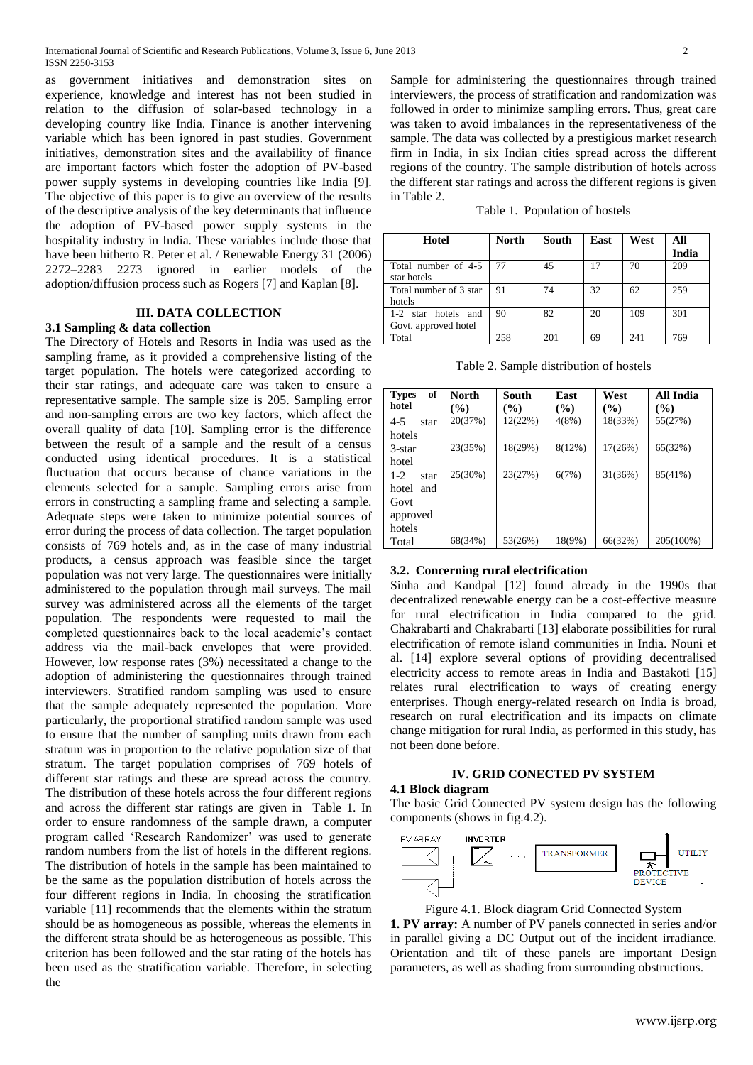as government initiatives and demonstration sites on experience, knowledge and interest has not been studied in relation to the diffusion of solar-based technology in a developing country like India. Finance is another intervening variable which has been ignored in past studies. Government initiatives, demonstration sites and the availability of finance are important factors which foster the adoption of PV-based power supply systems in developing countries like India [9]. The objective of this paper is to give an overview of the results of the descriptive analysis of the key determinants that influence the adoption of PV-based power supply systems in the hospitality industry in India. These variables include those that have been hitherto R. Peter et al. / Renewable Energy 31 (2006) 2272–2283 2273 ignored in earlier models of the adoption/diffusion process such as Rogers [7] and Kaplan [8].

# **III. DATA COLLECTION**

# **3.1 Sampling & data collection**

The Directory of Hotels and Resorts in India was used as the sampling frame, as it provided a comprehensive listing of the target population. The hotels were categorized according to their star ratings, and adequate care was taken to ensure a representative sample. The sample size is 205. Sampling error and non-sampling errors are two key factors, which affect the overall quality of data [10]. Sampling error is the difference between the result of a sample and the result of a census conducted using identical procedures. It is a statistical fluctuation that occurs because of chance variations in the elements selected for a sample. Sampling errors arise from errors in constructing a sampling frame and selecting a sample. Adequate steps were taken to minimize potential sources of error during the process of data collection. The target population consists of 769 hotels and, as in the case of many industrial products, a census approach was feasible since the target population was not very large. The questionnaires were initially administered to the population through mail surveys. The mail survey was administered across all the elements of the target population. The respondents were requested to mail the completed questionnaires back to the local academic's contact address via the mail-back envelopes that were provided. However, low response rates (3%) necessitated a change to the adoption of administering the questionnaires through trained interviewers. Stratified random sampling was used to ensure that the sample adequately represented the population. More particularly, the proportional stratified random sample was used to ensure that the number of sampling units drawn from each stratum was in proportion to the relative population size of that stratum. The target population comprises of 769 hotels of different star ratings and these are spread across the country. The distribution of these hotels across the four different regions and across the different star ratings are given in Table 1. In order to ensure randomness of the sample drawn, a computer program called 'Research Randomizer' was used to generate random numbers from the list of hotels in the different regions. The distribution of hotels in the sample has been maintained to be the same as the population distribution of hotels across the four different regions in India. In choosing the stratification variable [11] recommends that the elements within the stratum should be as homogeneous as possible, whereas the elements in the different strata should be as heterogeneous as possible. This criterion has been followed and the star rating of the hotels has been used as the stratification variable. Therefore, in selecting the

Sample for administering the questionnaires through trained interviewers, the process of stratification and randomization was followed in order to minimize sampling errors. Thus, great care was taken to avoid imbalances in the representativeness of the sample. The data was collected by a prestigious market research firm in India, in six Indian cities spread across the different regions of the country. The sample distribution of hotels across the different star ratings and across the different regions is given in Table 2.

|  | Table 1. Population of hostels |  |
|--|--------------------------------|--|
|--|--------------------------------|--|

| Hotel                                       | <b>North</b> | South | East | West | All<br>India |
|---------------------------------------------|--------------|-------|------|------|--------------|
| Total number of 4-5<br>star hotels          | 77           | 45    | 17   | 70   | 209          |
| Total number of 3 star<br>hotels            | 91           | 74    | 32   | 62   | 259          |
| 1-2 star hotels and<br>Govt. approved hotel | 90           | 82    | 20   | 109  | 301          |
| Total                                       | 258          | 201   | 69   | 241  | 769          |

Table 2. Sample distribution of hostels

| of<br><b>Types</b> | <b>North</b>    | South         | East          | West          | All India |
|--------------------|-----------------|---------------|---------------|---------------|-----------|
| hotel              | $\mathcal{O}_0$ | $\frac{9}{6}$ | $\frac{9}{6}$ | $\frac{9}{6}$ | $($ %)    |
| 4-5<br>star        | 20(37%)         | 12(22%)       | 4(8%)         | 18(33%)       | 55(27%)   |
| hotels             |                 |               |               |               |           |
| 3-star             | 23(35%)         | 18(29%)       | $8(12\%)$     | 17(26%)       | 65(32%)   |
| hotel              |                 |               |               |               |           |
| $1-2$<br>star      | 25(30%)         | 23(27%)       | 6(7%)         | 31(36%)       | 85(41%)   |
| hotel<br>and       |                 |               |               |               |           |
| Govt               |                 |               |               |               |           |
| approved           |                 |               |               |               |           |
| hotels             |                 |               |               |               |           |
| Total              | 68(34%)         | 53(26%)       | 18(9%)        | 66(32%)       | 205(100%) |

#### **3.2. Concerning rural electrification**

Sinha and Kandpal [12] found already in the 1990s that decentralized renewable energy can be a cost-effective measure for rural electrification in India compared to the grid. Chakrabarti and Chakrabarti [13] elaborate possibilities for rural electrification of remote island communities in India. Nouni et al. [14] explore several options of providing decentralised electricity access to remote areas in India and Bastakoti [15] relates rural electrification to ways of creating energy enterprises. Though energy-related research on India is broad, research on rural electrification and its impacts on climate change mitigation for rural India, as performed in this study, has not been done before.

# **IV. GRID CONECTED PV SYSTEM**

#### **4.1 Block diagram**

The basic Grid Connected PV system design has the following components (shows in fig.4.2).



Figure 4.1. Block diagram Grid Connected System **1. PV array:** A number of PV panels connected in series and/or in parallel giving a DC Output out of the incident irradiance. Orientation and tilt of these panels are important Design parameters, as well as shading from surrounding obstructions.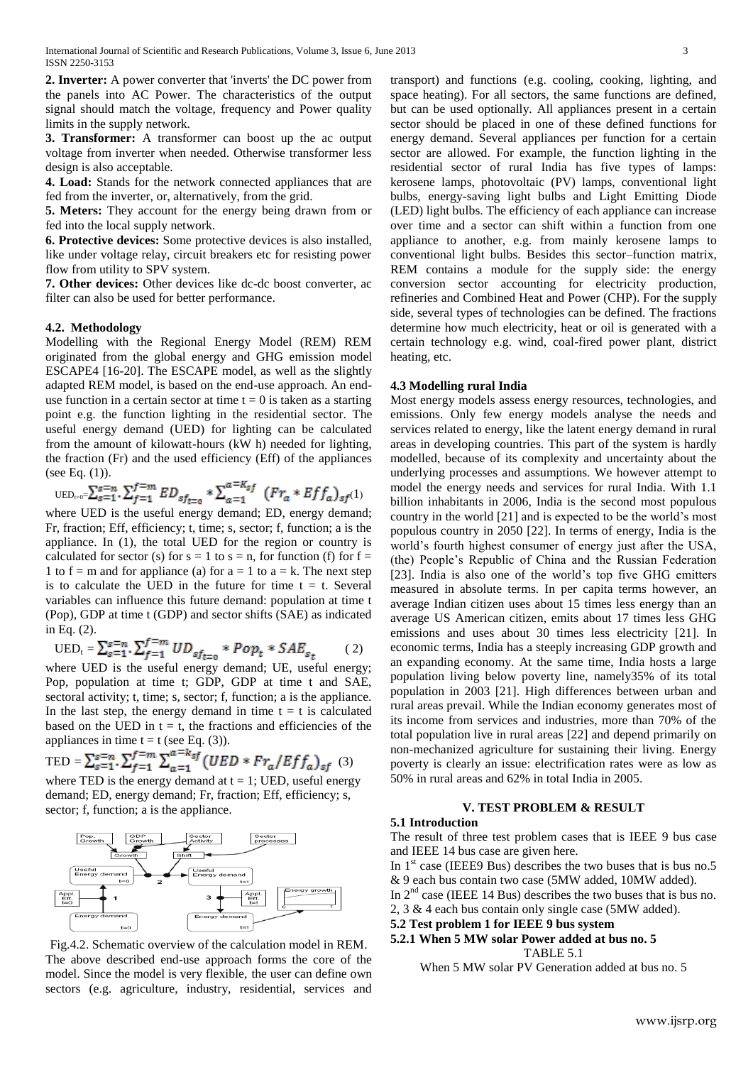**2. Inverter:** A power converter that 'inverts' the DC power from the panels into AC Power. The characteristics of the output signal should match the voltage, frequency and Power quality limits in the supply network.

**3. Transformer:** A transformer can boost up the ac output voltage from inverter when needed. Otherwise transformer less design is also acceptable.

**4. Load:** Stands for the network connected appliances that are fed from the inverter, or, alternatively, from the grid.

**5. Meters:** They account for the energy being drawn from or fed into the local supply network.

**6. Protective devices:** Some protective devices is also installed, like under voltage relay, circuit breakers etc for resisting power flow from utility to SPV system.

**7. Other devices:** Other devices like dc-dc boost converter, ac filter can also be used for better performance.

#### **4.2. Methodology**

Modelling with the Regional Energy Model (REM) REM originated from the global energy and GHG emission model ESCAPE4 [16-20]. The ESCAPE model, as well as the slightly adapted REM model, is based on the end-use approach. An enduse function in a certain sector at time  $t = 0$  is taken as a starting point e.g. the function lighting in the residential sector. The useful energy demand (UED) for lighting can be calculated from the amount of kilowatt-hours (kW h) needed for lighting, the fraction (Fr) and the used efficiency (Eff) of the appliances (see Eq. (1)).

$$
_{\text{UED}_{\text{1}=0}}\text{=}\Sigma_{s=1}^{s=n}\text{.}\Sigma_{f=1}^{f=m}\text{ } ED_{sf_{\text{1}=0}}\ast\text{ }\Sigma_{a=1}^{a=\text{K}_{sf}}\text{ }(\text{Fr}_{a}\ast\text{ }Eff_{a})_{sf}(1)
$$

where UED is the useful energy demand; ED, energy demand; Fr, fraction; Eff, efficiency; t, time; s, sector; f, function; a is the appliance. In (1), the total UED for the region or country is calculated for sector (s) for  $s = 1$  to  $s = n$ , for function (f) for  $f =$ 1 to f = m and for appliance (a) for  $a = 1$  to  $a = k$ . The next step is to calculate the UED in the future for time  $t = t$ . Several variables can influence this future demand: population at time t (Pop), GDP at time t (GDP) and sector shifts (SAE) as indicated in Eq. (2).

$$
UED_{t} = \sum_{s=1}^{s=n} \sum_{f=1}^{f=m} UD_{s f_{t=0}} * Pop_{t} * SAE_{s_{t}} \qquad (2)
$$

where UED is the useful energy demand; UE, useful energy; Pop, population at time t; GDP, GDP at time t and SAE, sectoral activity; t, time; s, sector; f, function; a is the appliance. In the last step, the energy demand in time  $t = t$  is calculated based on the UED in  $t = t$ , the fractions and efficiencies of the appliances in time  $t = t$  (see Eq. (3)).

$$
TED = \sum_{s=1}^{s=n} \sum_{f=1}^{f=m} \sum_{a=1}^{a=k_{sf}} (UED * Fr_a / Eff_a)_{sf}
$$
 (3)  
where TED is the energy demand at t = 1; UED, useful energy  
demand; ED, energy demand; Fr, fraction; Eff, efficiency; s,

sector; f, function; a is the appliance.



Fig.4.2. Schematic overview of the calculation model in REM. The above described end-use approach forms the core of the model. Since the model is very flexible, the user can define own sectors (e.g. agriculture, industry, residential, services and

transport) and functions (e.g. cooling, cooking, lighting, and space heating). For all sectors, the same functions are defined, but can be used optionally. All appliances present in a certain sector should be placed in one of these defined functions for energy demand. Several appliances per function for a certain sector are allowed. For example, the function lighting in the residential sector of rural India has five types of lamps: kerosene lamps, photovoltaic (PV) lamps, conventional light bulbs, energy-saving light bulbs and Light Emitting Diode (LED) light bulbs. The efficiency of each appliance can increase over time and a sector can shift within a function from one appliance to another, e.g. from mainly kerosene lamps to conventional light bulbs. Besides this sector–function matrix, REM contains a module for the supply side: the energy conversion sector accounting for electricity production, refineries and Combined Heat and Power (CHP). For the supply side, several types of technologies can be defined. The fractions determine how much electricity, heat or oil is generated with a certain technology e.g. wind, coal-fired power plant, district heating, etc.

#### **4.3 Modelling rural India**

Most energy models assess energy resources, technologies, and emissions. Only few energy models analyse the needs and services related to energy, like the latent energy demand in rural areas in developing countries. This part of the system is hardly modelled, because of its complexity and uncertainty about the underlying processes and assumptions. We however attempt to model the energy needs and services for rural India. With 1.1 billion inhabitants in 2006, India is the second most populous country in the world [21] and is expected to be the world's most populous country in 2050 [22]. In terms of energy, India is the world's fourth highest consumer of energy just after the USA, (the) People's Republic of China and the Russian Federation [23]. India is also one of the world's top five GHG emitters measured in absolute terms. In per capita terms however, an average Indian citizen uses about 15 times less energy than an average US American citizen, emits about 17 times less GHG emissions and uses about 30 times less electricity [21]. In economic terms, India has a steeply increasing GDP growth and an expanding economy. At the same time, India hosts a large population living below poverty line, namely35% of its total population in 2003 [21]. High differences between urban and rural areas prevail. While the Indian economy generates most of its income from services and industries, more than 70% of the total population live in rural areas [22] and depend primarily on non-mechanized agriculture for sustaining their living. Energy poverty is clearly an issue: electrification rates were as low as 50% in rural areas and 62% in total India in 2005.

# **V. TEST PROBLEM & RESULT**

#### **5.1 Introduction**

The result of three test problem cases that is IEEE 9 bus case and IEEE 14 bus case are given here.

In  $1<sup>st</sup>$  case (IEEE9 Bus) describes the two buses that is bus no.5 & 9 each bus contain two case (5MW added, 10MW added).

In  $2<sup>nd</sup>$  case (IEEE 14 Bus) describes the two buses that is bus no.

2, 3 & 4 each bus contain only single case (5MW added).

# **5.2 Test problem 1 for IEEE 9 bus system**

**5.2.1 When 5 MW solar Power added at bus no. 5** TABLE 5.1

When 5 MW solar PV Generation added at bus no. 5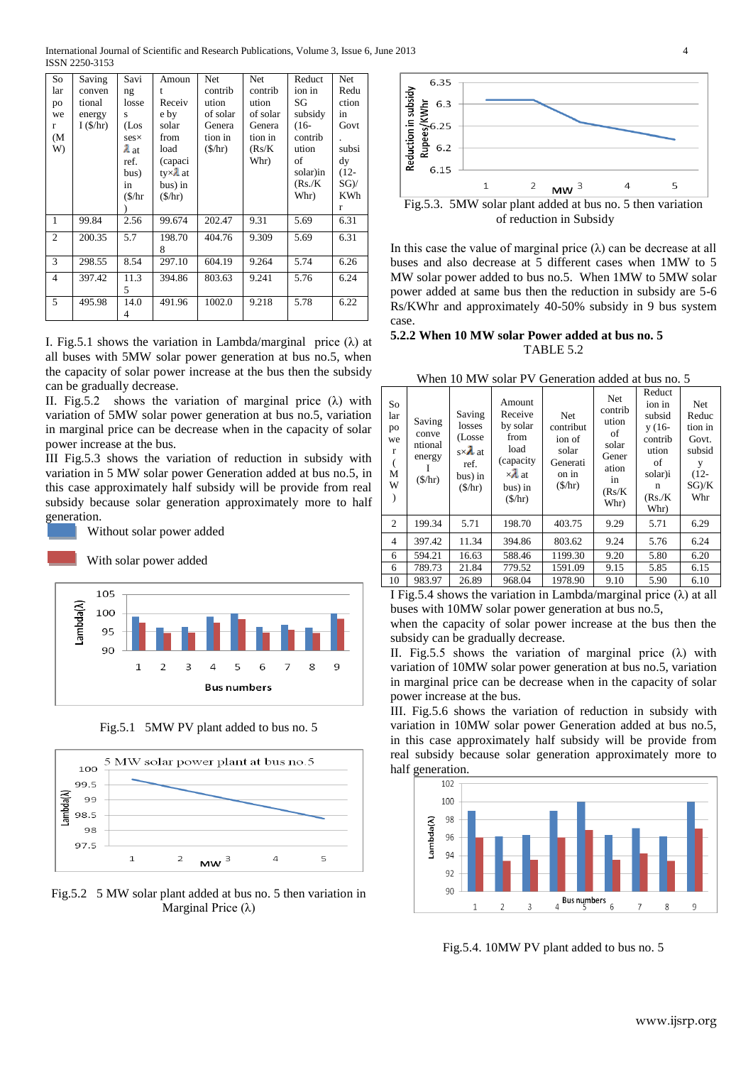International Journal of Scientific and Research Publications, Volume 3, Issue 6, June 2013 4 ISSN 2250-3153

| So                | Saving             | Savi         | Amoun                  | Net                | Net      | Reduct   | Net.       |
|-------------------|--------------------|--------------|------------------------|--------------------|----------|----------|------------|
| lar               | conven             | ng           |                        | contrib            | contrib  | ion in   | Redu       |
| po                | tional             | losse        | Receiv                 | ution              | ution    | SG       | ction      |
| we                | energy             | s            | e by                   | of solar           | of solar | subsidy  | in         |
| r                 | I $(\frac{5}{hr})$ | (Los         | solar                  | Genera             | Genera   | $(16-$   | Govt       |
| (M <sup>2</sup> ) |                    | $ses\times$  | from                   | tion in            | tion in  | contrib  |            |
| W)                |                    | $\lambda$ at | load                   | $(\frac{1}{2}$ hr) | (Rs/K)   | ution    | subsi      |
|                   |                    | ref.         | (capaci                |                    | Whr)     | οf       | dy         |
|                   |                    | bus)         | ty $\times \lambda$ at |                    |          | solar)in | $(12 -$    |
|                   |                    | in           | bus) in                |                    |          | (Rs/K)   | $SG$ )/    |
|                   |                    | (S/hr)       | $(\frac{1}{2}$ hr)     |                    |          | Whr)     | <b>KWh</b> |
|                   |                    |              |                        |                    |          |          | r          |
| $\mathbf{1}$      | 99.84              | 2.56         | 99.674                 | 202.47             | 9.31     | 5.69     | 6.31       |
| $\overline{c}$    | 200.35             | 5.7          | 198.70                 | 404.76             | 9.309    | 5.69     | 6.31       |
|                   |                    |              | 8                      |                    |          |          |            |
| 3                 | 298.55             | 8.54         | 297.10                 | 604.19             | 9.264    | 5.74     | 6.26       |
| $\overline{4}$    | 397.42             | 11.3         | 394.86                 | 803.63             | 9.241    | 5.76     | 6.24       |
|                   |                    | 5            |                        |                    |          |          |            |
| 5                 | 495.98             | 14.0         | 491.96                 | 1002.0             | 9.218    | 5.78     | 6.22       |
|                   |                    | 4            |                        |                    |          |          |            |

I. Fig.5.1 shows the variation in Lambda/marginal price  $(\lambda)$  at all buses with 5MW solar power generation at bus no.5, when the capacity of solar power increase at the bus then the subsidy can be gradually decrease.

II. Fig. 5.2 shows the variation of marginal price  $(\lambda)$  with variation of 5MW solar power generation at bus no.5, variation in marginal price can be decrease when in the capacity of solar power increase at the bus.

III Fig.5.3 shows the variation of reduction in subsidy with variation in 5 MW solar power Generation added at bus no.5, in this case approximately half subsidy will be provide from real subsidy because solar generation approximately more to half generation.



Without solar power added

With solar power added



Fig.5.1 5MW PV plant added to bus no. 5



Fig.5.2 5 MW solar plant added at bus no. 5 then variation in Marginal Price (λ)



of reduction in Subsidy

In this case the value of marginal price  $(\lambda)$  can be decrease at all buses and also decrease at 5 different cases when 1MW to 5 MW solar power added to bus no.5. When 1MW to 5MW solar power added at same bus then the reduction in subsidy are 5-6 Rs/KWhr and approximately 40-50% subsidy in 9 bus system case.

# **5.2.2 When 10 MW solar Power added at bus no. 5** TABLE 5.2

When 10 MW solar PV Generation added at bus no. 5

| So<br>lar<br>po<br>we<br>$\mathbf{r}$<br>M<br>W | Saving<br>conve<br>ntional<br>energy<br>$(\frac{5}{hr})$ | Saving<br>losses<br>(Losse)<br>$s \times \lambda$ at<br>ref.<br>bus) in<br>$(\frac{1}{2})$ | Amount<br>Receive<br>by solar<br>from<br>load<br>(capacity)<br>$\times \lambda$ at<br>bus) in<br>(S/hr) | <b>Net</b><br>contribut<br>ion of<br>solar<br>Generati<br>on in<br>$(\frac{f}{h})$ | <b>Net</b><br>contrib<br>ution<br>of<br>solar<br>Gener<br>ation<br>in<br>(Rs/K)<br>Whr) | Reduct<br>ion in<br>subsid<br>$v(16-$<br>contrib<br>ution<br>of<br>solar)i<br>n<br>(Rs/K)<br>Whr) | <b>Net</b><br>Reduc<br>tion in<br>Govt.<br>subsid<br>$(12 -$<br>SG/K<br>Whr |
|-------------------------------------------------|----------------------------------------------------------|--------------------------------------------------------------------------------------------|---------------------------------------------------------------------------------------------------------|------------------------------------------------------------------------------------|-----------------------------------------------------------------------------------------|---------------------------------------------------------------------------------------------------|-----------------------------------------------------------------------------|
| 2                                               | 199.34                                                   | 5.71                                                                                       | 198.70                                                                                                  | 403.75                                                                             | 9.29                                                                                    | 5.71                                                                                              | 6.29                                                                        |
| $\overline{4}$                                  | 397.42                                                   | 11.34                                                                                      | 394.86                                                                                                  | 803.62                                                                             | 9.24                                                                                    | 5.76                                                                                              | 6.24                                                                        |
| 6                                               | 594.21                                                   | 16.63                                                                                      | 588.46                                                                                                  | 1199.30                                                                            | 9.20                                                                                    | 5.80                                                                                              | 6.20                                                                        |
| 6                                               | 789.73                                                   | 21.84                                                                                      | 779.52                                                                                                  | 1591.09                                                                            | 9.15                                                                                    | 5.85                                                                                              | 6.15                                                                        |
| 10                                              | 983.97                                                   | 26.89                                                                                      | 968.04                                                                                                  | 1978.90                                                                            | 9.10                                                                                    | 5.90                                                                                              | 6.10                                                                        |

I Fig.5.4 shows the variation in Lambda/marginal price  $(\lambda)$  at all buses with 10MW solar power generation at bus no.5,

when the capacity of solar power increase at the bus then the subsidy can be gradually decrease.

II. Fig. 5.5 shows the variation of marginal price  $(\lambda)$  with variation of 10MW solar power generation at bus no.5, variation in marginal price can be decrease when in the capacity of solar power increase at the bus.

III. Fig.5.6 shows the variation of reduction in subsidy with variation in 10MW solar power Generation added at bus no.5, in this case approximately half subsidy will be provide from real subsidy because solar generation approximately more to half generation.



Fig.5.4. 10MW PV plant added to bus no. 5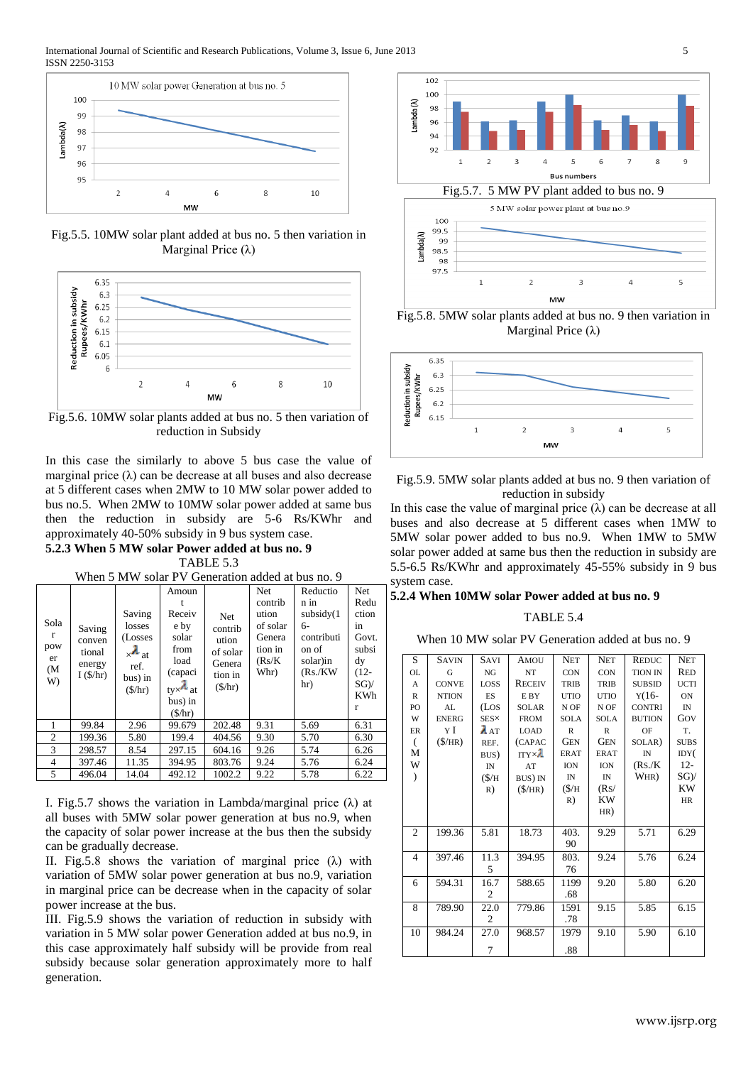

Fig.5.5. 10MW solar plant added at bus no. 5 then variation in Marginal Price (λ)



Fig.5.6. 10MW solar plants added at bus no. 5 then variation of reduction in Subsidy

In this case the similarly to above 5 bus case the value of marginal price  $(\lambda)$  can be decrease at all buses and also decrease at 5 different cases when 2MW to 10 MW solar power added to bus no.5. When 2MW to 10MW solar power added at same bus then the reduction in subsidy are 5-6 Rs/KWhr and approximately 40-50% subsidy in 9 bus system case.

**5.2.3 When 5 MW solar Power added at bus no. 9**

TABLE 5.3

|  | When 5 MW solar PV Generation added at bus no. 9 |
|--|--------------------------------------------------|
|--|--------------------------------------------------|

| <u>n hen 5 m n solai 1 n Oeheration auueu at bus ho. 7</u> |                                      |                                                       |                                                  |                                                      |                                                                    |                                                                          |                                                    |
|------------------------------------------------------------|--------------------------------------|-------------------------------------------------------|--------------------------------------------------|------------------------------------------------------|--------------------------------------------------------------------|--------------------------------------------------------------------------|----------------------------------------------------|
| Sola<br>r<br>pow<br>er                                     | Saving<br>conven<br>tional<br>energy | Saving<br>losses<br>(Losses)<br>$\times^{\lambda}$ at | Amoun<br>Receiv<br>e by<br>solar<br>from<br>load | <b>Net</b><br>contrib<br>ution<br>of solar<br>Genera | Net<br>contrib<br>ution<br>of solar<br>Genera<br>tion in<br>(Rs/K) | Reductio<br>n in<br>subsidy(1<br>$6-$<br>contributi<br>on of<br>solar)in | Net<br>Redu<br>ction<br>in<br>Govt.<br>subsi<br>dy |
| (M <sup>2</sup> )                                          | I(S/hr)                              | ref.<br>bus) in                                       | (capaci                                          | tion in                                              | Whr)                                                               | (Rs/KW)                                                                  | $(12 -$                                            |
| W)                                                         |                                      | $(\frac{1}{2})$                                       | $_{\text{ty}\times}$ $\lambda$ at                | $(\frac{1}{2}$ hr)                                   |                                                                    | hr)                                                                      | $SG$ )/<br><b>KWh</b>                              |
|                                                            |                                      |                                                       | bus) in                                          |                                                      |                                                                    |                                                                          |                                                    |
|                                                            |                                      |                                                       | $(\frac{1}{2}$ hr)                               |                                                      |                                                                    |                                                                          | r                                                  |
| 1                                                          | 99.84                                | 2.96                                                  | 99.679                                           | 202.48                                               | 9.31                                                               | 5.69                                                                     | 6.31                                               |
| 2                                                          | 199.36                               | 5.80                                                  | 199.4                                            | 404.56                                               | 9.30                                                               | 5.70                                                                     | 6.30                                               |
| 3                                                          | 298.57                               | 8.54                                                  | 297.15                                           | 604.16                                               | 9.26                                                               | 5.74                                                                     | 6.26                                               |
| 4                                                          | 397.46                               | 11.35                                                 | 394.95                                           | 803.76                                               | 9.24                                                               | 5.76                                                                     | 6.24                                               |
| 5                                                          | 496.04                               | 14.04                                                 | 492.12                                           | 1002.2                                               | 9.22                                                               | 5.78                                                                     | 6.22                                               |

I. Fig. 5.7 shows the variation in Lambda/marginal price  $(\lambda)$  at all buses with 5MW solar power generation at bus no.9, when the capacity of solar power increase at the bus then the subsidy can be gradually decrease.

II. Fig. 5.8 shows the variation of marginal price  $(\lambda)$  with variation of 5MW solar power generation at bus no.9, variation in marginal price can be decrease when in the capacity of solar power increase at the bus.

III. Fig.5.9 shows the variation of reduction in subsidy with variation in 5 MW solar power Generation added at bus no.9, in this case approximately half subsidy will be provide from real subsidy because solar generation approximately more to half generation.





Fig.5.8. 5MW solar plants added at bus no. 9 then variation in Marginal Price (λ)



Fig.5.9. 5MW solar plants added at bus no. 9 then variation of reduction in subsidy

In this case the value of marginal price  $(\lambda)$  can be decrease at all buses and also decrease at 5 different cases when 1MW to 5MW solar power added to bus no.9. When 1MW to 5MW solar power added at same bus then the reduction in subsidy are 5.5-6.5 Rs/KWhr and approximately 45-55% subsidy in 9 bus system case.

#### **5.2.4 When 10MW solar Power added at bus no. 9**

#### TABLE 5.4

When 10 MW solar PV Generation added at bus no. 9

| S              | <b>SAVIN</b>     | <b>SAVI</b>       | AMOU               | <b>NET</b>                          | <b>NET</b>  | <b>REDUC</b>   | <b>NET</b>  |
|----------------|------------------|-------------------|--------------------|-------------------------------------|-------------|----------------|-------------|
| OL             | G                | NG                | NT                 | <b>CON</b>                          | <b>CON</b>  | <b>TION IN</b> | Red         |
| A              | <b>CONVE</b>     | LOSS              | <b>RECEIV</b>      | <b>TRIB</b>                         | <b>TRIB</b> | <b>SUBSID</b>  | <b>UCTI</b> |
| $\mathbb{R}$   | <b>NTION</b>     | ES                | E BY               | <b>UTIO</b>                         | <b>UTIO</b> | $Y(16-$        | <b>ON</b>   |
| PO             | AL               | (Los              | <b>SOLAR</b>       | N OF                                | N OF        | <b>CONTRI</b>  | IN          |
| W              | <b>ENERG</b>     | $SES \times$      | <b>FROM</b>        | <b>SOLA</b>                         | <b>SOLA</b> | <b>BUTION</b>  | Gov         |
| ER             | ΥI               | $\lambda$ AT      | <b>LOAD</b>        | $\mathsf{R}$                        | R           | OF             | T.          |
| $\overline{(}$ | $(\frac{$}{HR})$ | REF.              | (CAPAC             | GEN                                 | <b>GEN</b>  | SOLAR)         | <b>SUBS</b> |
| M              |                  | BUS)              | $ITY\times\lambda$ | <b>ERAT</b>                         | <b>ERAT</b> | IN             | IDY(        |
| W              |                  | IN                | AT                 | <b>ION</b>                          | <b>ION</b>  | (Rs/K)         | $12 -$      |
| $\lambda$      |                  | $(\frac{C}{2})$ H | BUS) IN            | IN                                  | IN          | WHR)           | $SG$ )/     |
|                |                  | R)                | $(\frac{S}{HR})$   | $(\frac{\mathcal{S}}{\mathcal{H}})$ | (Rs/        |                | KW          |
|                |                  |                   |                    | R)                                  | ΚW          |                | HR          |
|                |                  |                   |                    |                                     | HR)         |                |             |
|                |                  |                   |                    |                                     |             |                |             |
| $\overline{2}$ | 199.36           | 5.81              | 18.73              | 403.                                | 9.29        | 5.71           | 6.29        |
|                |                  |                   |                    | 90                                  |             |                |             |
| $\overline{4}$ | 397.46           | 11.3              | 394.95             | 803.                                | 9.24        | 5.76           | 6.24        |
|                |                  | 5                 |                    | 76                                  |             |                |             |
| 6              | 594.31           | 16.7              | 588.65             | 1199                                | 9.20        | 5.80           | 6.20        |
|                |                  | 2                 |                    | .68                                 |             |                |             |
| 8              | 789.90           | 22.0              | 779.86             | 1591                                | 9.15        | 5.85           | 6.15        |
|                |                  | $\overline{c}$    |                    | .78                                 |             |                |             |
| 10             | 984.24           | 27.0              | 968.57             | 1979                                | 9.10        | 5.90           | 6.10        |
|                |                  | 7                 |                    | .88                                 |             |                |             |
|                |                  |                   |                    |                                     |             |                |             |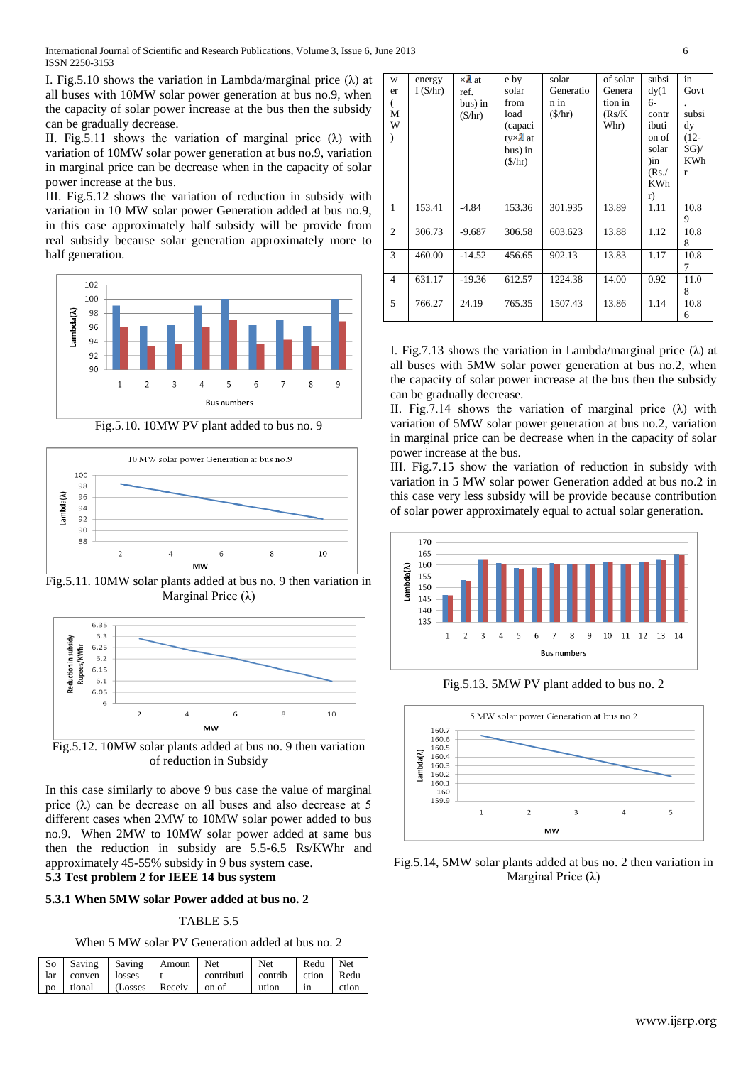I. Fig.5.10 shows the variation in Lambda/marginal price  $(\lambda)$  at all buses with 10MW solar power generation at bus no.9, when the capacity of solar power increase at the bus then the subsidy can be gradually decrease.

II. Fig. 5.11 shows the variation of marginal price  $(\lambda)$  with variation of 10MW solar power generation at bus no.9, variation in marginal price can be decrease when in the capacity of solar power increase at the bus.

III. Fig.5.12 shows the variation of reduction in subsidy with variation in 10 MW solar power Generation added at bus no.9, in this case approximately half subsidy will be provide from real subsidy because solar generation approximately more to half generation.



Fig.5.10. 10MW PV plant added to bus no. 9



Fig.5.11. 10MW solar plants added at bus no. 9 then variation in Marginal Price (λ)



Fig.5.12. 10MW solar plants added at bus no. 9 then variation of reduction in Subsidy

In this case similarly to above 9 bus case the value of marginal price  $(\lambda)$  can be decrease on all buses and also decrease at 5 different cases when 2MW to 10MW solar power added to bus no.9. When 2MW to 10MW solar power added at same bus then the reduction in subsidy are 5.5-6.5 Rs/KWhr and approximately 45-55% subsidy in 9 bus system case.

# **5.3 Test problem 2 for IEEE 14 bus system**

**5.3.1 When 5MW solar Power added at bus no. 2**

# TABLE 5.5

When 5 MW solar PV Generation added at bus no. 2

|                | So Saving Saving |          | Amoun  | Net        | Net     | Redu  | <b>Net</b> |
|----------------|------------------|----------|--------|------------|---------|-------|------------|
| lar -          | conven           | losses t |        | contributi | contrib | ction | Redu       |
| $\overline{p}$ | tional           | (Losses) | Receiv | on of      | ution   | in    | ction      |

| W<br>er<br>€<br>M<br>W | energy<br>I $(\frac{\mathcal{S}}{\hbar})$ | $\times \lambda$ at<br>ref.<br>bus) in<br>$(\frac{f}{h})$ | e by<br>solar<br>from<br>load<br>(capaci<br>$tx \times \lambda$ at<br>bus) in<br>$(\frac{1}{2}$ hr) | solar<br>Generatio<br>n in<br>$(\frac{1}{2}$ hr) | of solar<br>Genera<br>tion in<br>(Rs/K)<br>Whr) | subsi<br>dy(1)<br>6-<br>contr<br>ibuti<br>on of<br>solar<br>$)$ in<br>$(Rs$ ./<br><b>KWh</b><br>r) | in<br>Govt<br>subsi<br>dy<br>$(12 -$<br>$SG$ )/<br><b>KWh</b><br>r |
|------------------------|-------------------------------------------|-----------------------------------------------------------|-----------------------------------------------------------------------------------------------------|--------------------------------------------------|-------------------------------------------------|----------------------------------------------------------------------------------------------------|--------------------------------------------------------------------|
| $\mathbf{1}$           | 153.41                                    | $-4.84$                                                   | 153.36                                                                                              | 301.935                                          | 13.89                                           | 1.11                                                                                               | 10.8<br>9                                                          |
| 2                      | 306.73                                    | $-9.687$                                                  | 306.58                                                                                              | 603.623                                          | 13.88                                           | 1.12                                                                                               | 10.8<br>8                                                          |
| 3                      | 460.00                                    | $-14.52$                                                  | 456.65                                                                                              | 902.13                                           | 13.83                                           | 1.17                                                                                               | 10.8<br>7                                                          |
| $\overline{4}$         | 631.17                                    | $-19.36$                                                  | 612.57                                                                                              | 1224.38                                          | 14.00                                           | 0.92                                                                                               | 11.0<br>8                                                          |
| 5                      | 766.27                                    | 24.19                                                     | 765.35                                                                                              | 1507.43                                          | 13.86                                           | 1.14                                                                                               | 10.8<br>6                                                          |

I. Fig.7.13 shows the variation in Lambda/marginal price  $(\lambda)$  at all buses with 5MW solar power generation at bus no.2, when the capacity of solar power increase at the bus then the subsidy can be gradually decrease.

II. Fig.7.14 shows the variation of marginal price  $(\lambda)$  with variation of 5MW solar power generation at bus no.2, variation in marginal price can be decrease when in the capacity of solar power increase at the bus.

III. Fig.7.15 show the variation of reduction in subsidy with variation in 5 MW solar power Generation added at bus no.2 in this case very less subsidy will be provide because contribution of solar power approximately equal to actual solar generation.



Fig.5.13. 5MW PV plant added to bus no. 2



Fig.5.14, 5MW solar plants added at bus no. 2 then variation in Marginal Price (λ)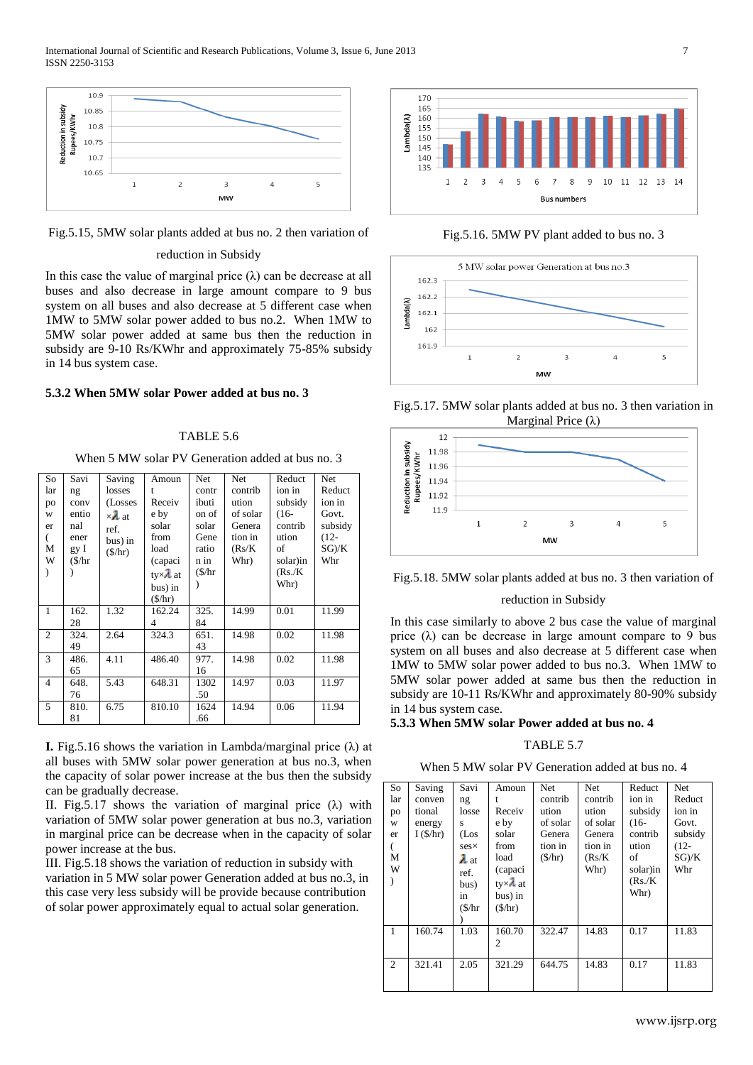

Fig.5.15, 5MW solar plants added at bus no. 2 then variation of

#### reduction in Subsidy

In this case the value of marginal price  $(\lambda)$  can be decrease at all buses and also decrease in large amount compare to 9 bus system on all buses and also decrease at 5 different case when 1MW to 5MW solar power added to bus no.2. When 1MW to 5MW solar power added at same bus then the reduction in subsidy are 9-10 Rs/KWhr and approximately 75-85% subsidy in 14 bus system case.

#### **5.3.2 When 5MW solar Power added at bus no. 3**

#### TABLE 5.6

When 5 MW solar PV Generation added at bus no. 3

| So             | Savi            | Saving                                  | Amoun                  | Net    | Net      | Reduct   | Net     |
|----------------|-----------------|-----------------------------------------|------------------------|--------|----------|----------|---------|
| lar            | ng              | losses                                  | t                      | contr  | contrib  | ion in   | Reduct  |
| po             | conv            | (Losses)                                | Receiv                 | ibuti  | ution    | subsidy  | ion in  |
| W              | entio           | $\times$ <b><math>\lambda</math></b> at | e by                   | on of  | of solar | $(16-$   | Govt.   |
| er             | nal             | ref.                                    | solar                  | solar  | Genera   | contrib  | subsidy |
| €              | ener            | bus) in                                 | from                   | Gene   | tion in  | ution    | $(12 -$ |
| M              | gy I            | $(\frac{5}{hr})$                        | load                   | ratio  | (Rs/K)   | of       | SG/K    |
| W              | $(\frac{1}{2})$ |                                         | (capaci                | n in   | Whr)     | solar)in | Whr     |
| $\lambda$      |                 |                                         | ty $\times \lambda$ at | (\$/hr |          | (Rs/K)   |         |
|                |                 |                                         | bus) in                |        |          | Whr)     |         |
|                |                 |                                         | $(\frac{1}{2}$ hr)     |        |          |          |         |
| $\mathbf{1}$   | 162.            | 1.32                                    | 162.24                 | 325.   | 14.99    | 0.01     | 11.99   |
|                | 28              |                                         | 4                      | 84     |          |          |         |
| $\overline{2}$ | 324.            | 2.64                                    | 324.3                  | 651.   | 14.98    | 0.02     | 11.98   |
|                | 49              |                                         |                        | 43     |          |          |         |
| 3              | 486.            | 4.11                                    | 486.40                 | 977.   | 14.98    | 0.02     | 11.98   |
|                | 65              |                                         |                        | 16     |          |          |         |
| $\overline{4}$ | 648.            | 5.43                                    | 648.31                 | 1302   | 14.97    | 0.03     | 11.97   |
|                | 76              |                                         |                        | .50    |          |          |         |
| 5              | 810.            | 6.75                                    | 810.10                 | 1624   | 14.94    | 0.06     | 11.94   |
|                | 81              |                                         |                        | .66    |          |          |         |

**I.** Fig.5.16 shows the variation in Lambda/marginal price  $(\lambda)$  at all buses with 5MW solar power generation at bus no.3, when the capacity of solar power increase at the bus then the subsidy can be gradually decrease.

II. Fig. 5.17 shows the variation of marginal price  $(\lambda)$  with variation of 5MW solar power generation at bus no.3, variation in marginal price can be decrease when in the capacity of solar power increase at the bus.

III. Fig.5.18 shows the variation of reduction in subsidy with variation in 5 MW solar power Generation added at bus no.3, in this case very less subsidy will be provide because contribution of solar power approximately equal to actual solar generation.



Fig.5.16. 5MW PV plant added to bus no. 3



Fig.5.17. 5MW solar plants added at bus no. 3 then variation in



Fig.5.18. 5MW solar plants added at bus no. 3 then variation of

#### reduction in Subsidy

In this case similarly to above 2 bus case the value of marginal price  $(\lambda)$  can be decrease in large amount compare to 9 bus system on all buses and also decrease at 5 different case when 1MW to 5MW solar power added to bus no.3. When 1MW to 5MW solar power added at same bus then the reduction in subsidy are 10-11 Rs/KWhr and approximately 80-90% subsidy in 14 bus system case.

# **5.3.3 When 5MW solar Power added at bus no. 4**

#### TABLE 5.7

|  |  | When 5 MW solar PV Generation added at bus no. 4 |  |
|--|--|--------------------------------------------------|--|
|--|--|--------------------------------------------------|--|

| So<br>lar<br>po<br>W<br>er | Saving<br>conven<br>tional<br>energy<br>I(S/hr) | Savi<br>ng<br>losse<br>S<br>(Los                                        | Amoun<br>Receiv<br>e by<br>solar                                                | Net<br>contrib<br>ution<br>of solar<br>Genera | Net<br>contrib<br>ution<br>of solar<br>Genera | Reduct<br>ion in<br>subsidy<br>$(16-$<br>contrib | Net<br>Reduct<br>ion in<br>Govt.<br>subsidy |
|----------------------------|-------------------------------------------------|-------------------------------------------------------------------------|---------------------------------------------------------------------------------|-----------------------------------------------|-----------------------------------------------|--------------------------------------------------|---------------------------------------------|
| M<br>W                     |                                                 | $ses\times$<br>$\lambda$ at<br>ref.<br>bus)<br>in<br>$(\frac{1}{2})$ hr | from<br>load<br>(capaci<br>ty $\times \lambda$ at<br>bus) in<br>$(\frac{f}{h})$ | tion in<br>$(\frac{1}{2}$ hr)                 | tion in<br>(Rs/K)<br>Whr)                     | ution<br>οf<br>solar)in<br>(Rs/K)<br>Whr)        | $(12 -$<br>SG/K<br>Whr                      |
| 1                          | 160.74                                          | 1.03                                                                    | 160.70<br>$\overline{c}$                                                        | 322.47                                        | 14.83                                         | 0.17                                             | 11.83                                       |
| $\overline{2}$             | 321.41                                          | 2.05                                                                    | 321.29                                                                          | 644.75                                        | 14.83                                         | 0.17                                             | 11.83                                       |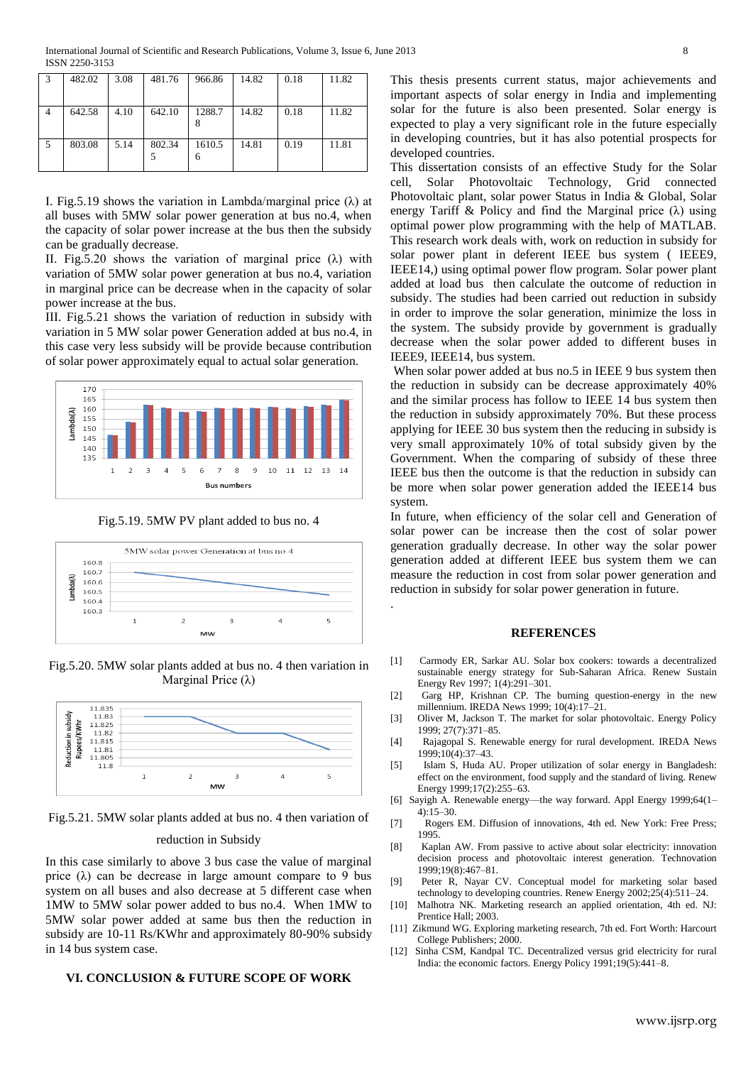| 3  | 482.02 | 3.08 | 481.76 | 966.86      | 14.82 | 0.18 | 11.82 |
|----|--------|------|--------|-------------|-------|------|-------|
|    | 642.58 | 4.10 | 642.10 | 1288.7      | 14.82 | 0.18 | 11.82 |
| .5 | 803.08 | 5.14 | 802.34 | 1610.5<br>6 | 14.81 | 0.19 | 11.81 |

I. Fig.5.19 shows the variation in Lambda/marginal price  $(\lambda)$  at all buses with 5MW solar power generation at bus no.4, when the capacity of solar power increase at the bus then the subsidy can be gradually decrease.

II. Fig. 5.20 shows the variation of marginal price  $(\lambda)$  with variation of 5MW solar power generation at bus no.4, variation in marginal price can be decrease when in the capacity of solar power increase at the bus.

III. Fig.5.21 shows the variation of reduction in subsidy with variation in 5 MW solar power Generation added at bus no.4, in this case very less subsidy will be provide because contribution of solar power approximately equal to actual solar generation.



Fig.5.19. 5MW PV plant added to bus no. 4



Fig.5.20. 5MW solar plants added at bus no. 4 then variation in Marginal Price (λ)



Fig.5.21. 5MW solar plants added at bus no. 4 then variation of

#### reduction in Subsidy

In this case similarly to above 3 bus case the value of marginal price  $(\lambda)$  can be decrease in large amount compare to 9 bus system on all buses and also decrease at 5 different case when 1MW to 5MW solar power added to bus no.4. When 1MW to 5MW solar power added at same bus then the reduction in subsidy are 10-11 Rs/KWhr and approximately 80-90% subsidy in 14 bus system case.

# **VI. CONCLUSION & FUTURE SCOPE OF WORK**

This thesis presents current status, major achievements and important aspects of solar energy in India and implementing solar for the future is also been presented. Solar energy is expected to play a very significant role in the future especially in developing countries, but it has also potential prospects for developed countries.

This dissertation consists of an effective Study for the Solar cell, Solar Photovoltaic Technology, Grid connected Photovoltaic plant, solar power Status in India & Global, Solar energy Tariff & Policy and find the Marginal price  $(\lambda)$  using optimal power plow programming with the help of MATLAB. This research work deals with, work on reduction in subsidy for solar power plant in deferent IEEE bus system ( IEEE9, IEEE14,) using optimal power flow program. Solar power plant added at load bus then calculate the outcome of reduction in subsidy. The studies had been carried out reduction in subsidy in order to improve the solar generation, minimize the loss in the system. The subsidy provide by government is gradually decrease when the solar power added to different buses in IEEE9, IEEE14, bus system.

When solar power added at bus no.5 in IEEE 9 bus system then the reduction in subsidy can be decrease approximately 40% and the similar process has follow to IEEE 14 bus system then the reduction in subsidy approximately 70%. But these process applying for IEEE 30 bus system then the reducing in subsidy is very small approximately 10% of total subsidy given by the Government. When the comparing of subsidy of these three IEEE bus then the outcome is that the reduction in subsidy can be more when solar power generation added the IEEE14 bus system.

In future, when efficiency of the solar cell and Generation of solar power can be increase then the cost of solar power generation gradually decrease. In other way the solar power generation added at different IEEE bus system them we can measure the reduction in cost from solar power generation and reduction in subsidy for solar power generation in future.

#### **REFERENCES**

.

- [1] Carmody ER, Sarkar AU. Solar box cookers: towards a decentralized sustainable energy strategy for Sub-Saharan Africa. Renew Sustain Energy Rev 1997; 1(4):291–301.
- [2] Garg HP, Krishnan CP. The burning question-energy in the new millennium. IREDA News 1999; 10(4):17–21.
- [3] Oliver M, Jackson T. The market for solar photovoltaic. Energy Policy 1999; 27(7):371–85.
- [4] Rajagopal S. Renewable energy for rural development. IREDA News 1999;10(4):37–43.
- [5] Islam S, Huda AU. Proper utilization of solar energy in Bangladesh: effect on the environment, food supply and the standard of living. Renew Energy 1999;17(2):255–63.
- [6] Sayigh A. Renewable energy—the way forward. Appl Energy 1999;64(1– 4):15–30.
- [7] Rogers EM. Diffusion of innovations, 4th ed. New York: Free Press; 1995.
- [8] Kaplan AW. From passive to active about solar electricity: innovation decision process and photovoltaic interest generation. Technovation 1999;19(8):467–81.
- [9] Peter R, Nayar CV. Conceptual model for marketing solar based technology to developing countries. Renew Energy 2002;25(4):511–24.
- [10] Malhotra NK. Marketing research an applied orientation, 4th ed. NJ: Prentice Hall; 2003.
- [11] Zikmund WG. Exploring marketing research, 7th ed. Fort Worth: Harcourt College Publishers; 2000.
- [12] Sinha CSM, Kandpal TC. Decentralized versus grid electricity for rural India: the economic factors. Energy Policy 1991;19(5):441–8.